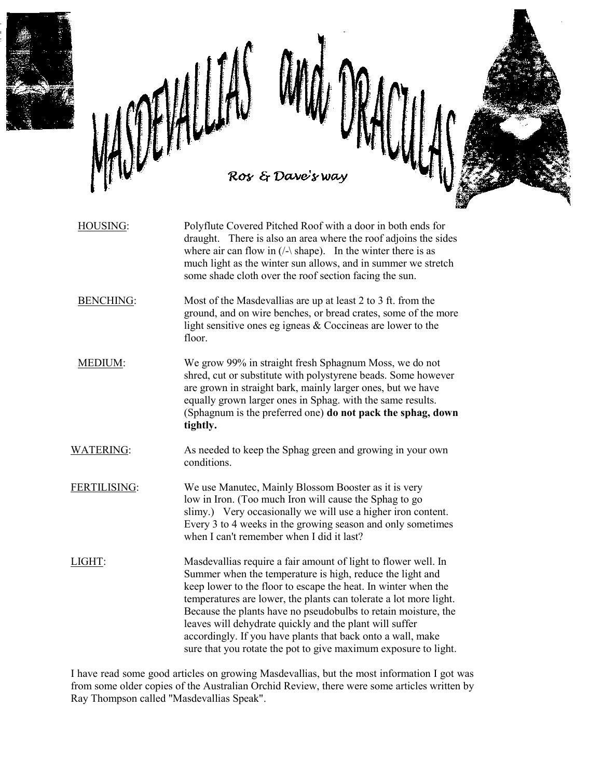

HOUSING: Polyflute Covered Pitched Roof with a door in both ends for draught. There is also an area where the roof adjoins the sides where air can flow in  $($ /- $\kappa$  shape). In the winter there is as much light as the winter sun allows, and in summer we stretch some shade cloth over the roof section facing the sun. BENCHING: Most of the Masdevallias are up at least 2 to 3 ft. from the ground, and on wire benches, or bread crates, some of the more light sensitive ones eg igneas & Coccineas are lower to the floor. MEDIUM: We grow 99% in straight fresh Sphagnum Moss, we do not shred, cut or substitute with polystyrene beads. Some however are grown in straight bark, mainly larger ones, but we have equally grown larger ones in Sphag. with the same results. (Sphagnum is the preferred one) **do not pack the sphag, down tightly.** WATERING: As needed to keep the Sphag green and growing in your own conditions. FERTILISING: We use Manutec, Mainly Blossom Booster as it is very low in Iron. (Too much Iron will cause the Sphag to go slimy.) Very occasionally we will use a higher iron content. Every 3 to 4 weeks in the growing season and only sometimes when I can't remember when I did it last? LIGHT: Masdevallias require a fair amount of light to flower well. In Summer when the temperature is high, reduce the light and keep lower to the floor to escape the heat. In winter when the temperatures are lower, the plants can tolerate a lot more light.

leaves will dehydrate quickly and the plant will suffer accordingly. If you have plants that back onto a wall, make sure that you rotate the pot to give maximum exposure to light.

Because the plants have no pseudobulbs to retain moisture, the

I have read some good articles on growing Masdevallias, but the most information I got was from some older copies of the Australian Orchid Review, there were some articles written by Ray Thompson called "Masdevallias Speak".